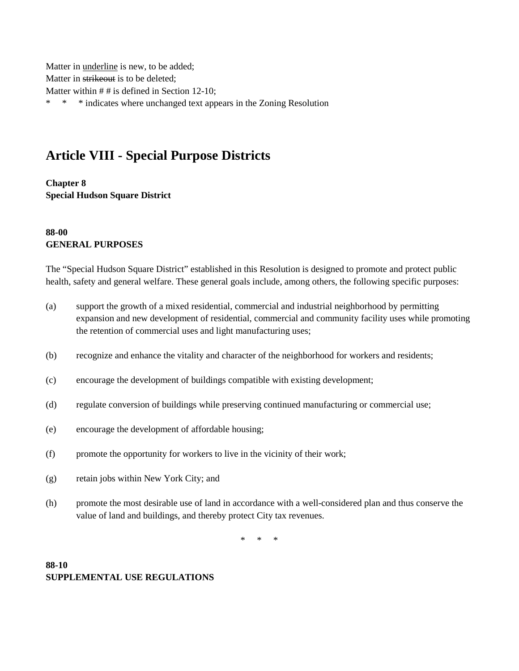Matter in underline is new, to be added; Matter in strikeout is to be deleted; Matter within # # is defined in Section 12-10; \* \* \* indicates where unchanged text appears in the Zoning Resolution

# **Article VIII - Special Purpose Districts**

**Chapter 8 Special Hudson Square District**

### **88-00 GENERAL PURPOSES**

The "Special Hudson Square District" established in this Resolution is designed to promote and protect public health, safety and general welfare. These general goals include, among others, the following specific purposes:

- (a) support the growth of a mixed residential, commercial and industrial neighborhood by permitting expansion and new development of residential, commercial and community facility uses while promoting the retention of commercial uses and light manufacturing uses;
- (b) recognize and enhance the vitality and character of the neighborhood for workers and residents;
- (c) encourage the development of buildings compatible with existing development;
- (d) regulate conversion of buildings while preserving continued manufacturing or commercial use;
- (e) encourage the development of affordable housing;
- (f) promote the opportunity for workers to live in the vicinity of their work;
- (g) retain jobs within New York City; and
- (h) promote the most desirable use of land in accordance with a well-considered plan and thus conserve the value of land and buildings, and thereby protect City tax revenues.

\* \* \*

### **88-10 SUPPLEMENTAL USE REGULATIONS**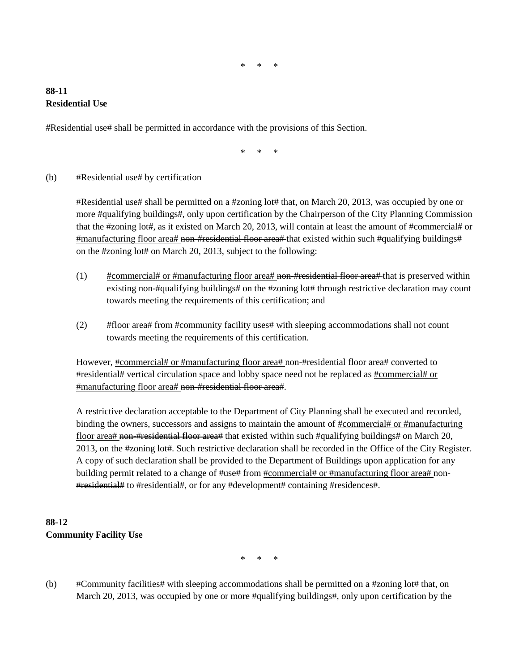$*$ 

### **88-11 Residential Use**

#Residential use# shall be permitted in accordance with the provisions of this Section.

\* \* \*

#### (b) #Residential use# by certification

#Residential use# shall be permitted on a #zoning lot# that, on March 20, 2013, was occupied by one or more #qualifying buildings#, only upon certification by the Chairperson of the City Planning Commission that the #zoning lot#, as it existed on March 20, 2013, will contain at least the amount of #commercial# or #manufacturing floor area# non-#residential floor area# that existed within such #qualifying buildings# on the #zoning lot# on March 20, 2013, subject to the following:

- $(1)$  #commercial# or #manufacturing floor area# non-#residential floor area# that is preserved within existing non-#qualifying buildings# on the #zoning lot# through restrictive declaration may count towards meeting the requirements of this certification; and
- (2) #floor area# from #community facility uses# with sleeping accommodations shall not count towards meeting the requirements of this certification.

However, #commercial# or #manufacturing floor area# non-#residential floor area# converted to #residential# vertical circulation space and lobby space need not be replaced as #commercial# or #manufacturing floor area# non-#residential floor area#.

A restrictive declaration acceptable to the Department of City Planning shall be executed and recorded, binding the owners, successors and assigns to maintain the amount of  $\#command$  the manufacturing floor area# non-#residential floor area# that existed within such #qualifying buildings# on March 20, 2013, on the #zoning lot#. Such restrictive declaration shall be recorded in the Office of the City Register. A copy of such declaration shall be provided to the Department of Buildings upon application for any building permit related to a change of #use# from #commercial# or #manufacturing floor area# non-#residential# to #residential#, or for any #development# containing #residences#.

## **88-12 Community Facility Use**

\* \* \*

(b) #Community facilities# with sleeping accommodations shall be permitted on a #zoning lot# that, on March 20, 2013, was occupied by one or more #qualifying buildings#, only upon certification by the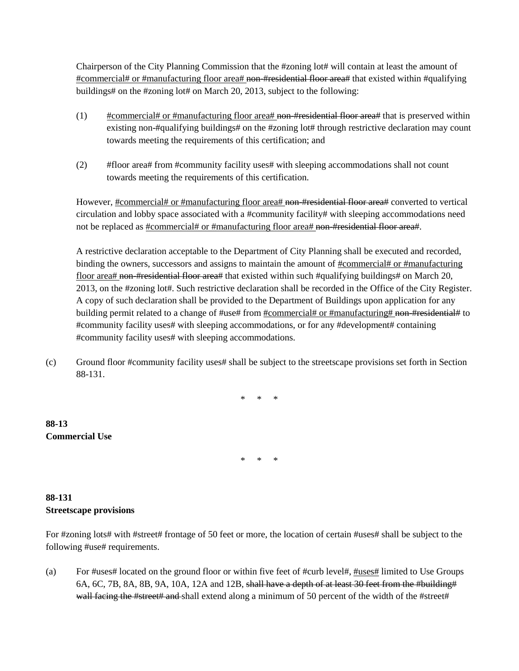Chairperson of the City Planning Commission that the #zoning lot# will contain at least the amount of #commercial# or #manufacturing floor area# non-#residential floor area# that existed within #qualifying buildings# on the #zoning lot# on March 20, 2013, subject to the following:

- $(1)$  #commercial# or #manufacturing floor area# non-#residential floor area# that is preserved within existing non-#qualifying buildings# on the #zoning lot# through restrictive declaration may count towards meeting the requirements of this certification; and
- (2) #floor area# from #community facility uses# with sleeping accommodations shall not count towards meeting the requirements of this certification.

However, #commercial# or #manufacturing floor area# non-#residential floor area# converted to vertical circulation and lobby space associated with a #community facility# with sleeping accommodations need not be replaced as #commercial# or #manufacturing floor area# non-#residential floor area#.

A restrictive declaration acceptable to the Department of City Planning shall be executed and recorded, binding the owners, successors and assigns to maintain the amount of #commercial# or #manufacturing floor area# non-#residential floor area# that existed within such #qualifying buildings# on March 20, 2013, on the #zoning lot#. Such restrictive declaration shall be recorded in the Office of the City Register. A copy of such declaration shall be provided to the Department of Buildings upon application for any building permit related to a change of #use# from #commercial# or #manufacturing# non-#residential# to #community facility uses# with sleeping accommodations, or for any #development# containing #community facility uses# with sleeping accommodations.

(c) Ground floor #community facility uses# shall be subject to the streetscape provisions set forth in Section 88-131.

\* \* \*

**88-13 Commercial Use**

 $*$ 

### **88-131 Streetscape provisions**

For #zoning lots# with #street# frontage of 50 feet or more, the location of certain #uses# shall be subject to the following #use# requirements.

(a) For #uses# located on the ground floor or within five feet of #curb level#, #uses# limited to Use Groups 6A, 6C, 7B, 8A, 8B, 9A, 10A, 12A and 12B, shall have a depth of at least 30 feet from the #building# wall facing the #street# and shall extend along a minimum of 50 percent of the width of the #street#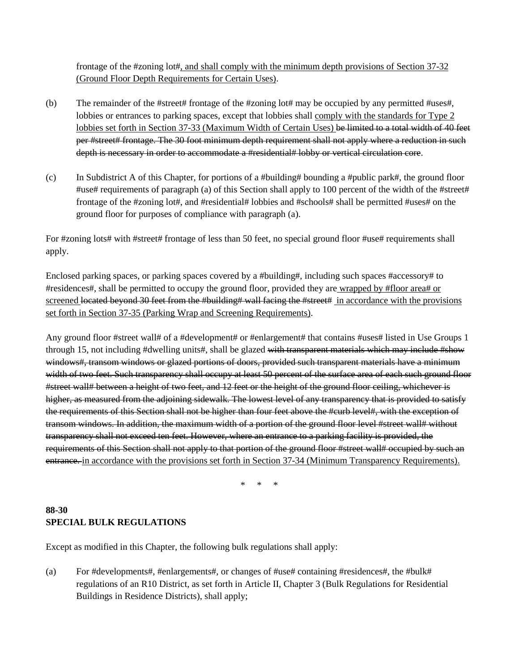frontage of the #zoning lot#, and shall comply with the minimum depth provisions of Section 37-32 (Ground Floor Depth Requirements for Certain Uses).

- (b) The remainder of the #street# frontage of the #zoning lot# may be occupied by any permitted #uses#, lobbies or entrances to parking spaces, except that lobbies shall comply with the standards for Type 2 lobbies set forth in Section 37-33 (Maximum Width of Certain Uses) be limited to a total width of 40 feet per #street# frontage. The 30 foot minimum depth requirement shall not apply where a reduction in such depth is necessary in order to accommodate a #residential# lobby or vertical circulation core.
- (c) In Subdistrict A of this Chapter, for portions of a #building# bounding a #public park#, the ground floor #use# requirements of paragraph (a) of this Section shall apply to 100 percent of the width of the #street# frontage of the #zoning lot#, and #residential# lobbies and #schools# shall be permitted #uses# on the ground floor for purposes of compliance with paragraph (a).

For #zoning lots# with #street# frontage of less than 50 feet, no special ground floor #use# requirements shall apply.

Enclosed parking spaces, or parking spaces covered by a #building#, including such spaces #accessory# to #residences#, shall be permitted to occupy the ground floor, provided they are wrapped by #floor area# or screened located beyond 30 feet from the #building# wall facing the #street# in accordance with the provisions set forth in Section 37-35 (Parking Wrap and Screening Requirements).

Any ground floor #street wall# of a #development# or #enlargement# that contains #uses# listed in Use Groups 1 through 15, not including #dwelling units#, shall be glazed with transparent materials which may include #show windows#, transom windows or glazed portions of doors, provided such transparent materials have a minimum width of two feet. Such transparency shall occupy at least 50 percent of the surface area of each such ground floor #street wall# between a height of two feet, and 12 feet or the height of the ground floor ceiling, whichever is higher, as measured from the adjoining sidewalk. The lowest level of any transparency that is provided to satisfy the requirements of this Section shall not be higher than four feet above the #curb level#, with the exception of transom windows. In addition, the maximum width of a portion of the ground floor level #street wall# without transparency shall not exceed ten feet. However, where an entrance to a parking facility is provided, the requirements of this Section shall not apply to that portion of the ground floor #street wall# occupied by such an entrance. in accordance with the provisions set forth in Section 37-34 (Minimum Transparency Requirements).

\* \* \*

### **88-30 SPECIAL BULK REGULATIONS**

Except as modified in this Chapter, the following bulk regulations shall apply:

(a) For #developments#, #enlargements#, or changes of #use# containing #residences#, the #bulk# regulations of an R10 District, as set forth in Article II, Chapter 3 (Bulk Regulations for Residential Buildings in Residence Districts), shall apply;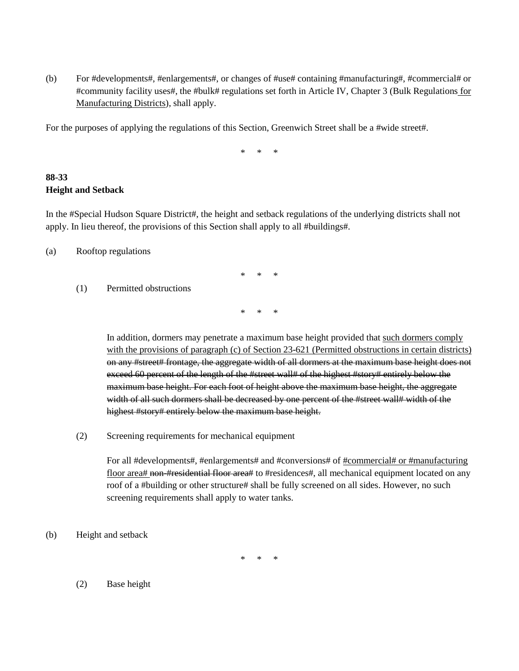(b) For #developments#, #enlargements#, or changes of #use# containing #manufacturing#, #commercial# or #community facility uses#, the #bulk# regulations set forth in Article IV, Chapter 3 (Bulk Regulations for Manufacturing Districts), shall apply.

For the purposes of applying the regulations of this Section, Greenwich Street shall be a #wide street#.

\* \* \*

### **88-33 Height and Setback**

In the #Special Hudson Square District#, the height and setback regulations of the underlying districts shall not apply. In lieu thereof, the provisions of this Section shall apply to all #buildings#.

(a) Rooftop regulations

- \* \* \*
- (1) Permitted obstructions

\* \* \*

In addition, dormers may penetrate a maximum base height provided that such dormers comply with the provisions of paragraph (c) of Section 23-621 (Permitted obstructions in certain districts) on any #street# frontage, the aggregate width of all dormers at the maximum base height does not exceed 60 percent of the length of the #street wall# of the highest #story# entirely below the maximum base height. For each foot of height above the maximum base height, the aggregate width of all such dormers shall be decreased by one percent of the #street wall# width of the highest #story# entirely below the maximum base height.

(2) Screening requirements for mechanical equipment

For all #developments#, #enlargements# and #conversions# of <u>#commercial# or #manufacturing</u> floor area# non-#residential floor area# to #residences#, all mechanical equipment located on any roof of a #building or other structure# shall be fully screened on all sides. However, no such screening requirements shall apply to water tanks.

(b) Height and setback

 $*$ 

(2) Base height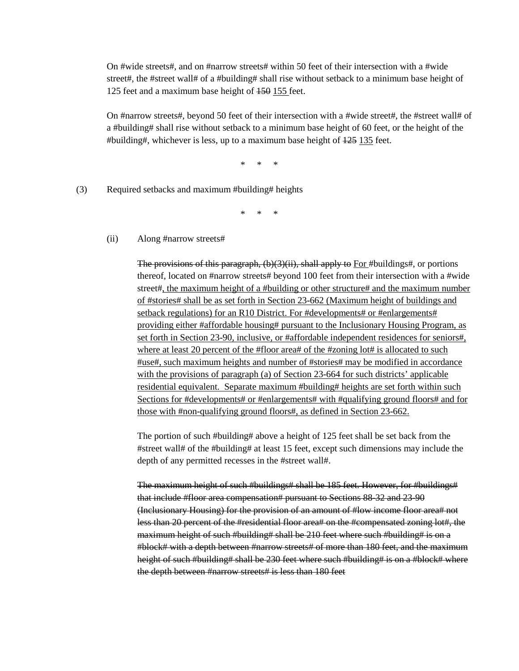On #wide streets#, and on #narrow streets# within 50 feet of their intersection with a #wide street#, the #street wall# of a #building# shall rise without setback to a minimum base height of 125 feet and a maximum base height of 150 155 feet.

On #narrow streets#, beyond 50 feet of their intersection with a #wide street#, the #street wall# of a #building# shall rise without setback to a minimum base height of 60 feet, or the height of the #building#, whichever is less, up to a maximum base height of 125 135 feet.

\* \* \*

(3) Required setbacks and maximum #building# heights

\* \* \*

(ii) Along #narrow streets#

The provisions of this paragraph,  $(b)(3)(ii)$ , shall apply to For #buildings#, or portions thereof, located on #narrow streets# beyond 100 feet from their intersection with a #wide street#, the maximum height of a #building or other structure# and the maximum number of #stories# shall be as set forth in Section 23-662 (Maximum height of buildings and setback regulations) for an R10 District. For #developments# or #enlargements# providing either #affordable housing# pursuant to the Inclusionary Housing Program, as set forth in Section 23-90, inclusive, or #affordable independent residences for seniors#, where at least 20 percent of the #floor area# of the #zoning lot# is allocated to such #use#, such maximum heights and number of #stories# may be modified in accordance with the provisions of paragraph (a) of Section 23-664 for such districts' applicable residential equivalent. Separate maximum #building# heights are set forth within such Sections for #developments# or #enlargements# with #qualifying ground floors# and for those with #non-qualifying ground floors#, as defined in Section 23-662.

The portion of such #building# above a height of 125 feet shall be set back from the #street wall# of the #building# at least 15 feet, except such dimensions may include the depth of any permitted recesses in the #street wall#.

The maximum height of such #buildings# shall be 185 feet. However, for #buildings# that include #floor area compensation# pursuant to Sections 88-32 and 23-90 (Inclusionary Housing) for the provision of an amount of #low income floor area# not less than 20 percent of the #residential floor area# on the #compensated zoning lot#, the maximum height of such #building# shall be 210 feet where such #building# is on a #block# with a depth between #narrow streets# of more than 180 feet, and the maximum height of such #building# shall be 230 feet where such #building# is on a #block# where the depth between #narrow streets# is less than 180 feet